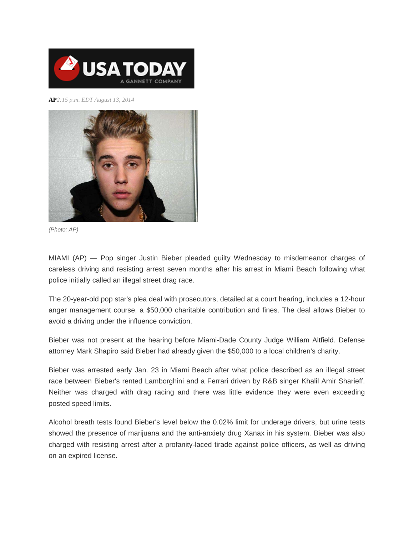

**AP***2:15 p.m. EDT August 13, 2014*



*(Photo: AP)*

MIAMI (AP) — Pop singer Justin Bieber pleaded guilty Wednesday to misdemeanor charges of careless driving and resisting arrest seven months after his arrest in Miami Beach following what police initially called an illegal street drag race.

The 20-year-old pop star's plea deal with prosecutors, detailed at a court hearing, includes a 12-hour anger management course, a \$50,000 charitable contribution and fines. The deal allows Bieber to avoid a driving under the influence conviction.

Bieber was not present at the hearing before Miami-Dade County Judge William Altfield. Defense attorney Mark Shapiro said Bieber had already given the \$50,000 to a local children's charity.

Bieber was arrested early Jan. 23 in Miami Beach after what police described as an illegal street race between Bieber's rented Lamborghini and a Ferrari driven by R&B singer Khalil Amir Sharieff. Neither was charged with drag racing and there was little evidence they were even exceeding posted speed limits.

Alcohol breath tests found Bieber's level below the 0.02% limit for underage drivers, but urine tests showed the presence of marijuana and the anti-anxiety drug Xanax in his system. Bieber was also charged with resisting arrest after a profanity-laced tirade against police officers, as well as driving on an expired license.